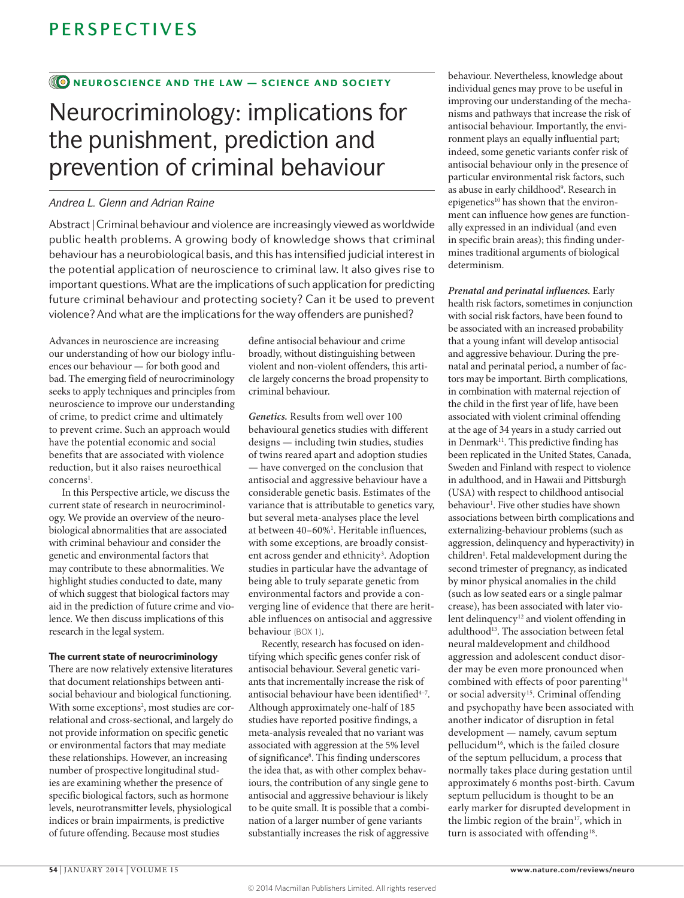### **CONEUROSCIENCE AND THE LAW - SCIENCE AND SOCIETY**

# Neurocriminology: implications for the punishment, prediction and prevention of criminal behaviour

### *Andrea L. Glenn and Adrian Raine*

Abstract | Criminal behaviour and violence are increasingly viewed as worldwide public health problems. A growing body of knowledge shows that criminal behaviour has a neurobiological basis, and this has intensified judicial interest in the potential application of neuroscience to criminal law. It also gives rise to important questions. What are the implications of such application for predicting future criminal behaviour and protecting society? Can it be used to prevent violence? And what are the implications for the way offenders are punished?

Advances in neuroscience are increasing our understanding of how our biology influences our behaviour — for both good and bad. The emerging field of neurocriminology seeks to apply techniques and principles from neuroscience to improve our understanding of crime, to predict crime and ultimately to prevent crime. Such an approach would have the potential economic and social benefits that are associated with violence reduction, but it also raises neuroethical concerns<sup>1</sup>.

In this Perspective article, we discuss the current state of research in neurocriminology. We provide an overview of the neurobiological abnormalities that are associated with criminal behaviour and consider the genetic and environmental factors that may contribute to these abnormalities. We highlight studies conducted to date, many of which suggest that biological factors may aid in the prediction of future crime and violence. We then discuss implications of this research in the legal system.

### The current state of neurocriminology

There are now relatively extensive literatures that document relationships between antisocial behaviour and biological functioning. With some exceptions<sup>2</sup>, most studies are correlational and cross-sectional, and largely do not provide information on specific genetic or environmental factors that may mediate these relationships. However, an increasing number of prospective longitudinal studies are examining whether the presence of specific biological factors, such as hormone levels, neurotransmitter levels, physiological indices or brain impairments, is predictive of future offending. Because most studies

define antisocial behaviour and crime broadly, without distinguishing between violent and non-violent offenders, this article largely concerns the broad propensity to criminal behaviour.

*Genetics.* Results from well over 100 behavioural genetics studies with different designs — including twin studies, studies of twins reared apart and adoption studies — have converged on the conclusion that antisocial and aggressive behaviour have a considerable genetic basis. Estimates of the variance that is attributable to genetics vary, but several meta-analyses place the level at between 40–60%1 . Heritable influences, with some exceptions, are broadly consistent across gender and ethnicity<sup>3</sup>. Adoption studies in particular have the advantage of being able to truly separate genetic from environmental factors and provide a converging line of evidence that there are heritable influences on antisocial and aggressive behaviour (BOX 1).

Recently, research has focused on identifying which specific genes confer risk of antisocial behaviour. Several genetic variants that incrementally increase the risk of antisocial behaviour have been identified<sup>4-7</sup>. Although approximately one-half of 185 studies have reported positive findings, a meta-analysis revealed that no variant was associated with aggression at the 5% level of significance<sup>8</sup>. This finding underscores the idea that, as with other complex behaviours, the contribution of any single gene to antisocial and aggressive behaviour is likely to be quite small. It is possible that a combination of a larger number of gene variants substantially increases the risk of aggressive

behaviour. Nevertheless, knowledge about individual genes may prove to be useful in improving our understanding of the mechanisms and pathways that increase the risk of antisocial behaviour. Importantly, the environment plays an equally influential part; indeed, some genetic variants confer risk of antisocial behaviour only in the presence of particular environmental risk factors, such as abuse in early childhood9 . Research in epigenetics<sup>10</sup> has shown that the environment can influence how genes are functionally expressed in an individual (and even in specific brain areas); this finding undermines traditional arguments of biological determinism.

*Prenatal and perinatal influences.* Early health risk factors, sometimes in conjunction with social risk factors, have been found to be associated with an increased probability that a young infant will develop antisocial and aggressive behaviour. During the prenatal and perinatal period, a number of factors may be important. Birth complications, in combination with maternal rejection of the child in the first year of life, have been associated with violent criminal offending at the age of 34 years in a study carried out in Denmark<sup>11</sup>. This predictive finding has been replicated in the United States, Canada, Sweden and Finland with respect to violence in adulthood, and in Hawaii and Pittsburgh (USA) with respect to childhood antisocial behaviour<sup>1</sup>. Five other studies have shown associations between birth complications and externalizing-behaviour problems (such as aggression, delinquency and hyperactivity) in children<sup>1</sup>. Fetal maldevelopment during the second trimester of pregnancy, as indicated by minor physical anomalies in the child (such as low seated ears or a single palmar crease), has been associated with later violent delinquency<sup>12</sup> and violent offending in adulthood<sup>13</sup>. The association between fetal neural maldevelopment and childhood aggression and adolescent conduct disorder may be even more pronounced when combined with effects of poor parenting<sup>14</sup> or social adversity<sup>15</sup>. Criminal offending and psychopathy have been associated with another indicator of disruption in fetal development — namely, cavum septum pellucidum16, which is the failed closure of the septum pellucidum, a process that normally takes place during gestation until approximately 6 months post-birth. Cavum septum pellucidum is thought to be an early marker for disrupted development in the limbic region of the brain<sup>17</sup>, which in turn is associated with offending<sup>18</sup>.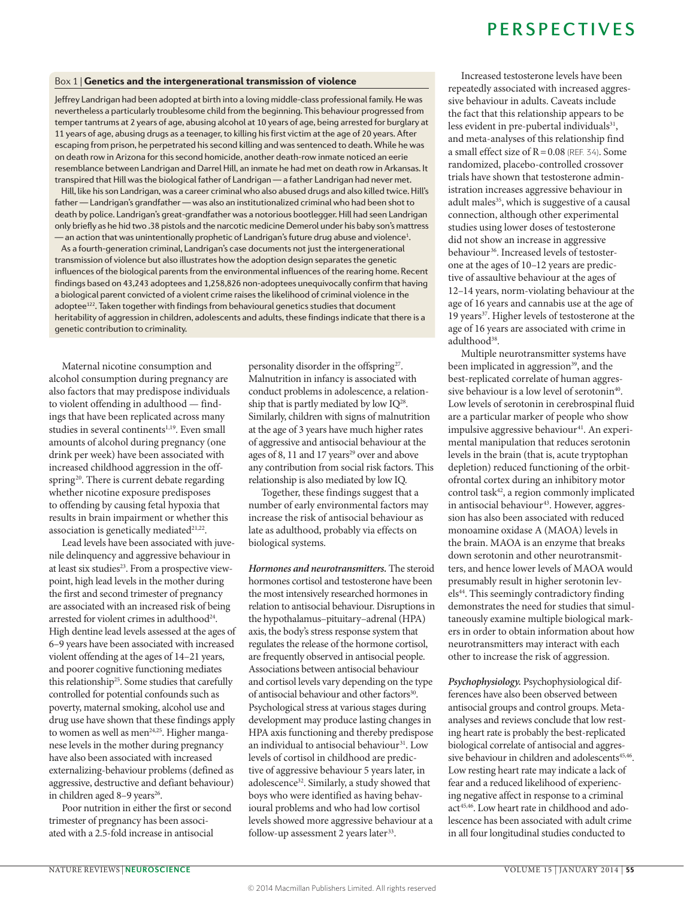#### Box 1 | Genetics and the intergenerational transmission of violence

Jeffrey Landrigan had been adopted at birth into a loving middle-class professional family. He was nevertheless a particularly troublesome child from the beginning. This behaviour progressed from temper tantrums at 2 years of age, abusing alcohol at 10 years of age, being arrested for burglary at 11 years of age, abusing drugs as a teenager, to killing his first victim at the age of 20 years. After escaping from prison, he perpetrated his second killing and was sentenced to death. While he was on death row in Arizona for this second homicide, another death-row inmate noticed an eerie resemblance between Landrigan and Darrel Hill, an inmate he had met on death row in Arkansas. It transpired that Hill was the biological father of Landrigan — a father Landrigan had never met. Hill, like his son Landrigan, was a career criminal who also abused drugs and also killed twice. Hill's

father — Landrigan's grandfather — was also an institutionalized criminal who had been shot to death by police. Landrigan's great-grandfather was a notorious bootlegger. Hill had seen Landrigan only briefly as he hid two .38 pistols and the narcotic medicine Demerol under his baby son's mattress  $-$  an action that was unintentionally prophetic of Landrigan's future drug abuse and violence $^{\rm 1}$ .

As a fourth-generation criminal, Landrigan's case documents not just the intergenerational transmission of violence but also illustrates how the adoption design separates the genetic influences of the biological parents from the environmental influences of the rearing home. Recent findings based on 43,243 adoptees and 1,258,826 non-adoptees unequivocally confirm that having a biological parent convicted of a violent crime raises the likelihood of criminal violence in the adoptee<sup>122</sup>. Taken together with findings from behavioural genetics studies that document heritability of aggression in children, adolescents and adults, these findings indicate that there is a genetic contribution to criminality.

Maternal nicotine consumption and alcohol consumption during pregnancy are also factors that may predispose individuals to violent offending in adulthood — findings that have been replicated across many studies in several continents<sup>1,19</sup>. Even small amounts of alcohol during pregnancy (one drink per week) have been associated with increased childhood aggression in the offspring<sup>20</sup>. There is current debate regarding whether nicotine exposure predisposes to offending by causing fetal hypoxia that results in brain impairment or whether this association is genetically mediated $21,22$ .

Lead levels have been associated with juvenile delinquency and aggressive behaviour in at least six studies<sup>23</sup>. From a prospective viewpoint, high lead levels in the mother during the first and second trimester of pregnancy are associated with an increased risk of being arrested for violent crimes in adulthood<sup>24</sup>. High dentine lead levels assessed at the ages of 6–9 years have been associated with increased violent offending at the ages of 14–21 years, and poorer cognitive functioning mediates this relationship25. Some studies that carefully controlled for potential confounds such as poverty, maternal smoking, alcohol use and drug use have shown that these findings apply to women as well as men<sup>24,25</sup>. Higher manganese levels in the mother during pregnancy have also been associated with increased externalizing-behaviour problems (defined as aggressive, destructive and defiant behaviour) in children aged 8-9 years<sup>26</sup>.

Poor nutrition in either the first or second trimester of pregnancy has been associated with a 2.5-fold increase in antisocial

personality disorder in the offspring<sup>27</sup>. Malnutrition in infancy is associated with conduct problems in adolescence, a relationship that is partly mediated by low IQ<sup>28</sup>. Similarly, children with signs of malnutrition at the age of 3 years have much higher rates of aggressive and antisocial behaviour at the ages of 8, 11 and 17 years<sup>29</sup> over and above any contribution from social risk factors. This relationship is also mediated by low IQ.

Together, these findings suggest that a number of early environmental factors may increase the risk of antisocial behaviour as late as adulthood, probably via effects on biological systems.

*Hormones and neurotransmitters.* The steroid hormones cortisol and testosterone have been the most intensively researched hormones in relation to antisocial behaviour. Disruptions in the hypothalamus–pituitary–adrenal (HPA) axis, the body's stress response system that regulates the release of the hormone cortisol, are frequently observed in antisocial people. Associations between antisocial behaviour and cortisol levels vary depending on the type of antisocial behaviour and other factors<sup>30</sup>. Psychological stress at various stages during development may produce lasting changes in HPA axis functioning and thereby predispose an individual to antisocial behaviour<sup>31</sup>. Low levels of cortisol in childhood are predictive of aggressive behaviour 5 years later, in adolescence<sup>32</sup>. Similarly, a study showed that boys who were identified as having behavioural problems and who had low cortisol levels showed more aggressive behaviour at a follow-up assessment 2 years later<sup>33</sup>.

Increased testosterone levels have been repeatedly associated with increased aggressive behaviour in adults. Caveats include the fact that this relationship appears to be less evident in pre-pubertal individuals<sup>31</sup>, and meta-analyses of this relationship find a small effect size of R=0.08 (REF. 34). Some randomized, placebo-controlled crossover trials have shown that testosterone administration increases aggressive behaviour in adult males<sup>35</sup>, which is suggestive of a causal connection, although other experimental studies using lower doses of testosterone did not show an increase in aggressive behaviour<sup>36</sup>. Increased levels of testosterone at the ages of 10–12 years are predictive of assaultive behaviour at the ages of 12–14 years, norm-violating behaviour at the age of 16 years and cannabis use at the age of 19 years<sup>37</sup>. Higher levels of testosterone at the age of 16 years are associated with crime in adulthood<sup>38</sup>.

Multiple neurotransmitter systems have been implicated in aggression<sup>39</sup>, and the best-replicated correlate of human aggressive behaviour is a low level of serotonin<sup>40</sup>. Low levels of serotonin in cerebrospinal fluid are a particular marker of people who show impulsive aggressive behaviour<sup>41</sup>. An experimental manipulation that reduces serotonin levels in the brain (that is, acute tryptophan depletion) reduced functioning of the orbitofrontal cortex during an inhibitory motor control task42, a region commonly implicated in antisocial behaviour<sup>43</sup>. However, aggression has also been associated with reduced monoamine oxidase A (MAOA) levels in the brain. MAOA is an enzyme that breaks down serotonin and other neurotransmitters, and hence lower levels of MAOA would presumably result in higher serotonin levels<sup>44</sup>. This seemingly contradictory finding demonstrates the need for studies that simultaneously examine multiple biological markers in order to obtain information about how neurotransmitters may interact with each other to increase the risk of aggression.

*Psychophysiology.* Psychophysiological differences have also been observed between antisocial groups and control groups. Metaanalyses and reviews conclude that low resting heart rate is probably the best-replicated biological correlate of antisocial and aggressive behaviour in children and adolescents<sup>45,46</sup>. Low resting heart rate may indicate a lack of fear and a reduced likelihood of experiencing negative affect in response to a criminal act<sup>45,46</sup>. Low heart rate in childhood and adolescence has been associated with adult crime in all four longitudinal studies conducted to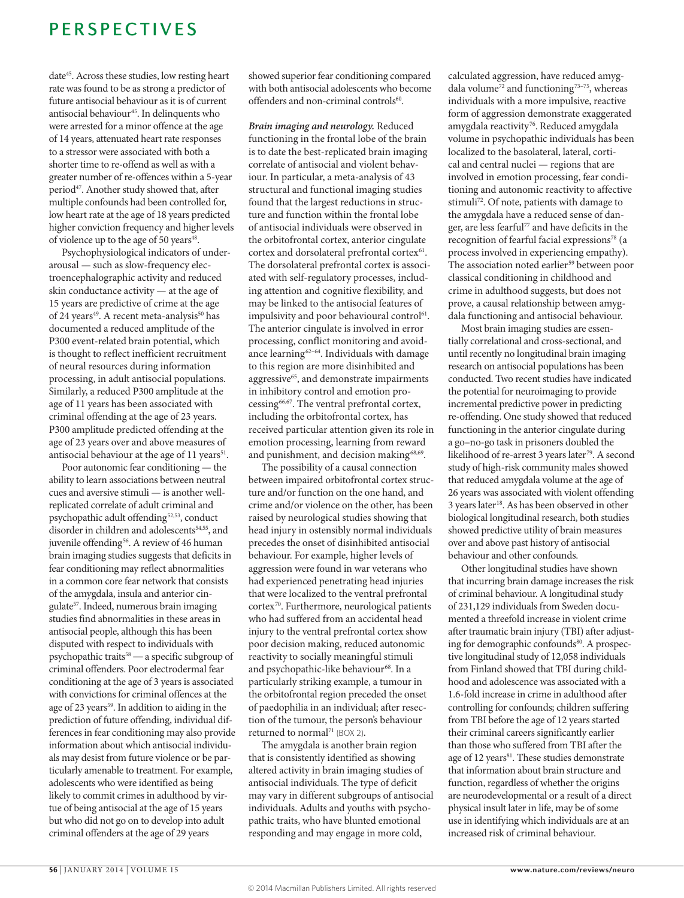date<sup>45</sup>. Across these studies, low resting heart rate was found to be as strong a predictor of future antisocial behaviour as it is of current antisocial behaviour<sup>45</sup>. In delinquents who were arrested for a minor offence at the age of 14 years, attenuated heart rate responses to a stressor were associated with both a shorter time to re-offend as well as with a greater number of re-offences within a 5-year period<sup>47</sup>. Another study showed that, after multiple confounds had been controlled for, low heart rate at the age of 18 years predicted higher conviction frequency and higher levels of violence up to the age of 50 years<sup>48</sup>.

Psychophysiological indicators of underarousal — such as slow-frequency electroencephalographic activity and reduced skin conductance activity — at the age of 15 years are predictive of crime at the age of 24 years<sup>49</sup>. A recent meta-analysis<sup>50</sup> has documented a reduced amplitude of the P300 event-related brain potential, which is thought to reflect inefficient recruitment of neural resources during information processing, in adult antisocial populations. Similarly, a reduced P300 amplitude at the age of 11 years has been associated with criminal offending at the age of 23 years. P300 amplitude predicted offending at the age of 23 years over and above measures of antisocial behaviour at the age of 11 years<sup>51</sup>.

Poor autonomic fear conditioning — the ability to learn associations between neutral cues and aversive stimuli — is another wellreplicated correlate of adult criminal and psychopathic adult offending<sup>52,53</sup>, conduct disorder in children and adolescents<sup>54,55</sup>, and juvenile offending<sup>56</sup>. A review of 46 human brain imaging studies suggests that deficits in fear conditioning may reflect abnormalities in a common core fear network that consists of the amygdala, insula and anterior cingulate57. Indeed, numerous brain imaging studies find abnormalities in these areas in antisocial people, although this has been disputed with respect to individuals with psychopathic traits<sup>58</sup> — a specific subgroup of criminal offenders. Poor electrodermal fear conditioning at the age of 3 years is associated with convictions for criminal offences at the age of 23 years<sup>59</sup>. In addition to aiding in the prediction of future offending, individual differences in fear conditioning may also provide information about which antisocial individuals may desist from future violence or be particularly amenable to treatment. For example, adolescents who were identified as being likely to commit crimes in adulthood by virtue of being antisocial at the age of 15 years but who did not go on to develop into adult criminal offenders at the age of 29 years

showed superior fear conditioning compared with both antisocial adolescents who become offenders and non-criminal controls<sup>60</sup>.

*Brain imaging and neurology.* Reduced functioning in the frontal lobe of the brain is to date the best-replicated brain imaging correlate of antisocial and violent behaviour. In particular, a meta-analysis of 43 structural and functional imaging studies found that the largest reductions in structure and function within the frontal lobe of antisocial individuals were observed in the orbitofrontal cortex, anterior cingulate cortex and dorsolateral prefrontal cortex<sup>61</sup>. The dorsolateral prefrontal cortex is associated with self-regulatory processes, including attention and cognitive flexibility, and may be linked to the antisocial features of impulsivity and poor behavioural control<sup>61</sup>. The anterior cingulate is involved in error processing, conflict monitoring and avoidance learning<sup>62-64</sup>. Individuals with damage to this region are more disinhibited and aggressive<sup>65</sup>, and demonstrate impairments in inhibitory control and emotion processing66,67. The ventral prefrontal cortex, including the orbitofrontal cortex, has received particular attention given its role in emotion processing, learning from reward and punishment, and decision making<sup>68,69</sup>.

The possibility of a causal connection between impaired orbitofrontal cortex structure and/or function on the one hand, and crime and/or violence on the other, has been raised by neurological studies showing that head injury in ostensibly normal individuals precedes the onset of disinhibited antisocial behaviour. For example, higher levels of aggression were found in war veterans who had experienced penetrating head injuries that were localized to the ventral prefrontal cortex70. Furthermore, neurological patients who had suffered from an accidental head injury to the ventral prefrontal cortex show poor decision making, reduced autonomic reactivity to socially meaningful stimuli and psychopathic-like behaviour<sup>68</sup>. In a particularly striking example, a tumour in the orbitofrontal region preceded the onset of paedophilia in an individual; after resection of the tumour, the person's behaviour returned to normal<sup>71</sup> (BOX 2).

The amygdala is another brain region that is consistently identified as showing altered activity in brain imaging studies of antisocial individuals. The type of deficit may vary in different subgroups of antisocial individuals. Adults and youths with psychopathic traits, who have blunted emotional responding and may engage in more cold,

calculated aggression, have reduced amygdala volume<sup>72</sup> and functioning<sup>73-75</sup>, whereas individuals with a more impulsive, reactive form of aggression demonstrate exaggerated amygdala reactivity<sup>76</sup>. Reduced amygdala volume in psychopathic individuals has been localized to the basolateral, lateral, cortical and central nuclei — regions that are involved in emotion processing, fear conditioning and autonomic reactivity to affective stimuli72. Of note, patients with damage to the amygdala have a reduced sense of danger, are less fearful<sup>77</sup> and have deficits in the recognition of fearful facial expressions<sup>78</sup> (a process involved in experiencing empathy). The association noted earlier<sup>59</sup> between poor classical conditioning in childhood and crime in adulthood suggests, but does not prove, a causal relationship between amygdala functioning and antisocial behaviour.

Most brain imaging studies are essentially correlational and cross-sectional, and until recently no longitudinal brain imaging research on antisocial populations has been conducted. Two recent studies have indicated the potential for neuroimaging to provide incremental predictive power in predicting re-offending. One study showed that reduced functioning in the anterior cingulate during a go–no-go task in prisoners doubled the likelihood of re-arrest 3 years later<sup>79</sup>. A second study of high-risk community males showed that reduced amygdala volume at the age of 26 years was associated with violent offending 3 years later<sup>18</sup>. As has been observed in other biological longitudinal research, both studies showed predictive utility of brain measures over and above past history of antisocial behaviour and other confounds.

Other longitudinal studies have shown that incurring brain damage increases the risk of criminal behaviour. A longitudinal study of 231,129 individuals from Sweden documented a threefold increase in violent crime after traumatic brain injury (TBI) after adjusting for demographic confounds<sup>80</sup>. A prospective longitudinal study of 12,058 individuals from Finland showed that TBI during childhood and adolescence was associated with a 1.6-fold increase in crime in adulthood after controlling for confounds; children suffering from TBI before the age of 12 years started their criminal careers significantly earlier than those who suffered from TBI after the age of 12 years<sup>81</sup>. These studies demonstrate that information about brain structure and function, regardless of whether the origins are neurodevelopmental or a result of a direct physical insult later in life, may be of some use in identifying which individuals are at an increased risk of criminal behaviour.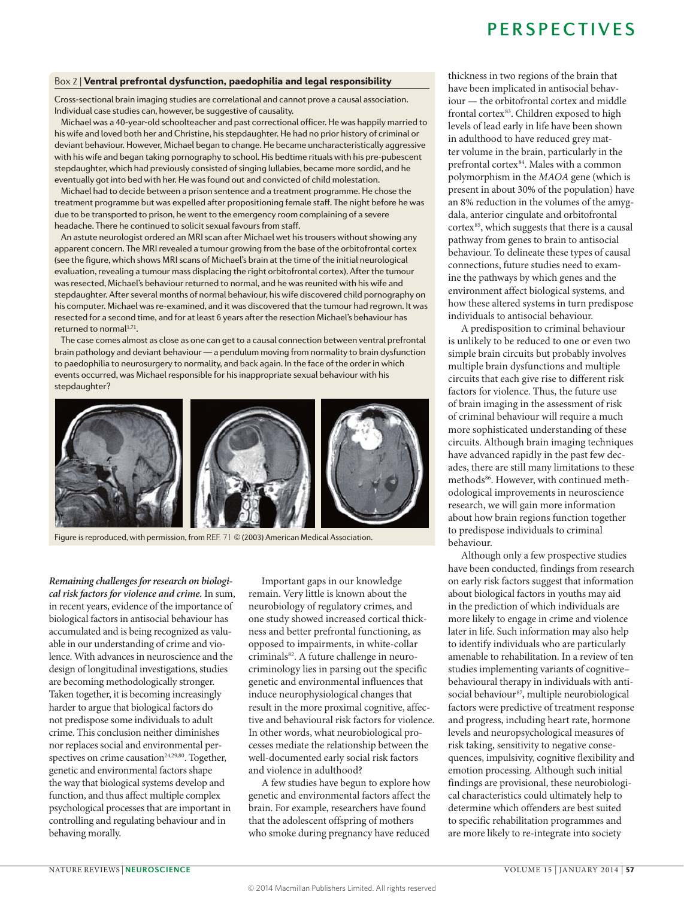#### Box 2 | Ventral prefrontal dysfunction, paedophilia and legal responsibility

Cross-sectional brain imaging studies are correlational and cannot prove a causal association. Individual case studies can, however, be suggestive of causality.

Michael was a 40‑year-old schoolteacher and past correctional officer. He was happily married to his wife and loved both her and Christine, his stepdaughter. He had no prior history of criminal or deviant behaviour. However, Michael began to change. He became uncharacteristically aggressive with his wife and began taking pornography to school. His bedtime rituals with his pre-pubescent stepdaughter, which had previously consisted of singing lullabies, became more sordid, and he eventually got into bed with her. He was found out and convicted of child molestation.

Michael had to decide between a prison sentence and a treatment programme. He chose the treatment programme but was expelled after propositioning female staff. The night before he was due to be transported to prison, he went to the emergency room complaining of a severe headache. There he continued to solicit sexual favours from staff.

An astute neurologist ordered an MRI scan after Michael wet his trousers without showing any apparent concern. The MRI revealed a tumour growing from the base of the orbitofrontal cortex (see the figure, which shows MRI scans of Michael's brain at the time of the initial neurological evaluation, revealing a tumour mass displacing the right orbitofrontal cortex). After the tumour was resected, Michael's behaviour returned to normal, and he was reunited with his wife and stepdaughter. After several months of normal behaviour, his wife discovered child pornography on his computer. Michael was re-examined, and it was discovered that the tumour had regrown. It was resected for a second time, and for at least 6 years after the resection Michael's behaviour has returned to normal<sup>1,71</sup>.

The case comes almost as close as one can get to a causal connection between ventral prefrontal brain pathology and deviant behaviour — a pendulum moving from normality to brain dysfunction to paedophilia to neurosurgery to normality, and back again. In the face of the order in which events occurred, was Michael responsible for his inappropriate sexual behaviour with his stepdaughter?



**Nature Reviews** | **Neuroscience** Figure is reproduced, with permission, from REF. 71 © (2003) American Medical Association.

*Remaining challenges for research on biological risk factors for violence and crime.* In sum, in recent years, evidence of the importance of biological factors in antisocial behaviour has accumulated and is being recognized as valuable in our understanding of crime and violence. With advances in neuroscience and the design of longitudinal investigations, studies are becoming methodologically stronger. Taken together, it is becoming increasingly harder to argue that biological factors do not predispose some individuals to adult crime. This conclusion neither diminishes nor replaces social and environmental perspectives on crime causation<sup>24,29,80</sup>. Together, genetic and environmental factors shape the way that biological systems develop and function, and thus affect multiple complex psychological processes that are important in controlling and regulating behaviour and in behaving morally.

Important gaps in our knowledge remain. Very little is known about the neurobiology of regulatory crimes, and one study showed increased cortical thickness and better prefrontal functioning, as opposed to impairments, in white-collar criminals<sup>82</sup>. A future challenge in neurocriminology lies in parsing out the specific genetic and environmental influences that induce neurophysiological changes that result in the more proximal cognitive, affective and behavioural risk factors for violence. In other words, what neurobiological processes mediate the relationship between the well-documented early social risk factors and violence in adulthood?

A few studies have begun to explore how genetic and environmental factors affect the brain. For example, researchers have found that the adolescent offspring of mothers who smoke during pregnancy have reduced

thickness in two regions of the brain that have been implicated in antisocial behaviour — the orbitofrontal cortex and middle frontal cortex<sup>83</sup>. Children exposed to high levels of lead early in life have been shown in adulthood to have reduced grey matter volume in the brain, particularly in the prefrontal cortex<sup>84</sup>. Males with a common polymorphism in the *MAOA* gene (which is present in about 30% of the population) have an 8% reduction in the volumes of the amygdala, anterior cingulate and orbitofrontal  $\text{cortex}^{85}$ , which suggests that there is a causal pathway from genes to brain to antisocial behaviour. To delineate these types of causal connections, future studies need to examine the pathways by which genes and the environment affect biological systems, and how these altered systems in turn predispose individuals to antisocial behaviour.

A predisposition to criminal behaviour is unlikely to be reduced to one or even two simple brain circuits but probably involves multiple brain dysfunctions and multiple circuits that each give rise to different risk factors for violence. Thus, the future use of brain imaging in the assessment of risk of criminal behaviour will require a much more sophisticated understanding of these circuits. Although brain imaging techniques have advanced rapidly in the past few decades, there are still many limitations to these methods<sup>86</sup>. However, with continued methodological improvements in neuroscience research, we will gain more information about how brain regions function together to predispose individuals to criminal behaviour.

Although only a few prospective studies have been conducted, findings from research on early risk factors suggest that information about biological factors in youths may aid in the prediction of which individuals are more likely to engage in crime and violence later in life. Such information may also help to identify individuals who are particularly amenable to rehabilitation. In a review of ten studies implementing variants of cognitive– behavioural therapy in individuals with antisocial behaviour<sup>87</sup>, multiple neurobiological factors were predictive of treatment response and progress, including heart rate, hormone levels and neuropsychological measures of risk taking, sensitivity to negative consequences, impulsivity, cognitive flexibility and emotion processing. Although such initial findings are provisional, these neurobiological characteristics could ultimately help to determine which offenders are best suited to specific rehabilitation programmes and are more likely to re-integrate into society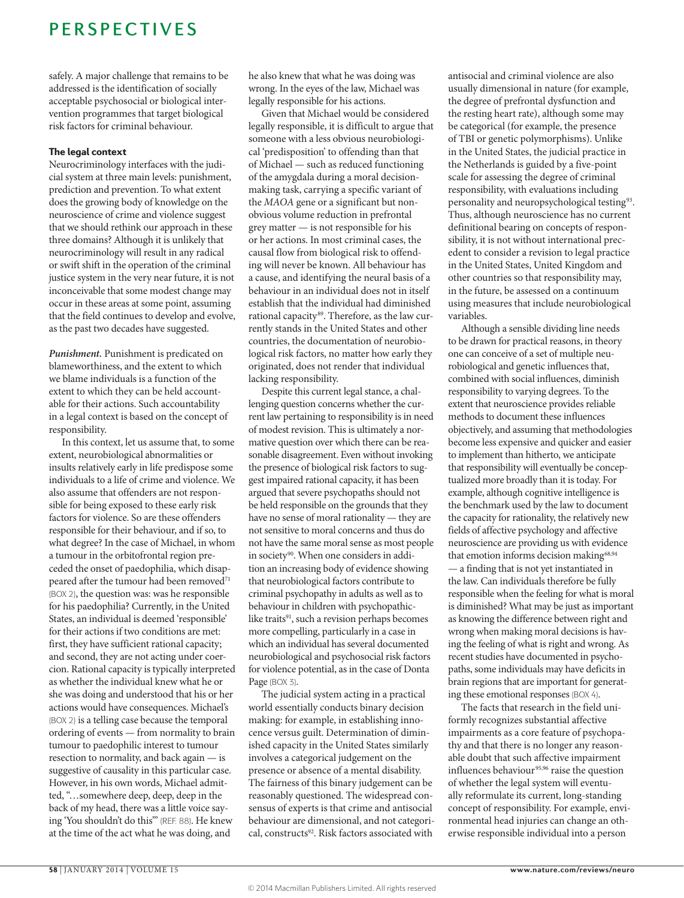safely. A major challenge that remains to be addressed is the identification of socially acceptable psychosocial or biological intervention programmes that target biological risk factors for criminal behaviour.

### The legal context

Neurocriminology interfaces with the judicial system at three main levels: punishment, prediction and prevention. To what extent does the growing body of knowledge on the neuroscience of crime and violence suggest that we should rethink our approach in these three domains? Although it is unlikely that neurocriminology will result in any radical or swift shift in the operation of the criminal justice system in the very near future, it is not inconceivable that some modest change may occur in these areas at some point, assuming that the field continues to develop and evolve, as the past two decades have suggested.

*Punishment.* Punishment is predicated on blameworthiness, and the extent to which we blame individuals is a function of the extent to which they can be held accountable for their actions. Such accountability in a legal context is based on the concept of responsibility.

In this context, let us assume that, to some extent, neurobiological abnormalities or insults relatively early in life predispose some individuals to a life of crime and violence. We also assume that offenders are not responsible for being exposed to these early risk factors for violence. So are these offenders responsible for their behaviour, and if so, to what degree? In the case of Michael, in whom a tumour in the orbitofrontal region preceded the onset of paedophilia, which disappeared after the tumour had been removed<sup>71</sup> (BOX 2), the question was: was he responsible for his paedophilia? Currently, in the United States, an individual is deemed 'responsible' for their actions if two conditions are met: first, they have sufficient rational capacity; and second, they are not acting under coercion. Rational capacity is typically interpreted as whether the individual knew what he or she was doing and understood that his or her actions would have consequences. Michael's (BOX 2) is a telling case because the temporal ordering of events — from normality to brain tumour to paedophilic interest to tumour resection to normality, and back again — is suggestive of causality in this particular case. However, in his own words, Michael admitted, "…somewhere deep, deep, deep in the back of my head, there was a little voice saying 'You shouldn't do this'" (REF. 88). He knew at the time of the act what he was doing, and

he also knew that what he was doing was wrong. In the eyes of the law, Michael was legally responsible for his actions.

Given that Michael would be considered legally responsible, it is difficult to argue that someone with a less obvious neurobiological 'predisposition' to offending than that of Michael — such as reduced functioning of the amygdala during a moral decisionmaking task, carrying a specific variant of the *MAOA* gene or a significant but nonobvious volume reduction in prefrontal grey matter — is not responsible for his or her actions. In most criminal cases, the causal flow from biological risk to offending will never be known. All behaviour has a cause, and identifying the neural basis of a behaviour in an individual does not in itself establish that the individual had diminished rational capacity<sup>89</sup>. Therefore, as the law currently stands in the United States and other countries, the documentation of neurobiological risk factors, no matter how early they originated, does not render that individual lacking responsibility.

Despite this current legal stance, a challenging question concerns whether the current law pertaining to responsibility is in need of modest revision. This is ultimately a normative question over which there can be reasonable disagreement. Even without invoking the presence of biological risk factors to suggest impaired rational capacity, it has been argued that severe psychopaths should not be held responsible on the grounds that they have no sense of moral rationality — they are not sensitive to moral concerns and thus do not have the same moral sense as most people in society<sup>90</sup>. When one considers in addition an increasing body of evidence showing that neurobiological factors contribute to criminal psychopathy in adults as well as to behaviour in children with psychopathiclike traits<sup>91</sup>, such a revision perhaps becomes more compelling, particularly in a case in which an individual has several documented neurobiological and psychosocial risk factors for violence potential, as in the case of Donta Page (BOX 3).

The judicial system acting in a practical world essentially conducts binary decision making: for example, in establishing innocence versus guilt. Determination of diminished capacity in the United States similarly involves a categorical judgement on the presence or absence of a mental disability. The fairness of this binary judgement can be reasonably questioned. The widespread consensus of experts is that crime and antisocial behaviour are dimensional, and not categorical, constructs<sup>92</sup>. Risk factors associated with

antisocial and criminal violence are also usually dimensional in nature (for example, the degree of prefrontal dysfunction and the resting heart rate), although some may be categorical (for example, the presence of TBI or genetic polymorphisms). Unlike in the United States, the judicial practice in the Netherlands is guided by a five-point scale for assessing the degree of criminal responsibility, with evaluations including personality and neuropsychological testing<sup>93</sup>. Thus, although neuroscience has no current definitional bearing on concepts of responsibility, it is not without international precedent to consider a revision to legal practice in the United States, United Kingdom and other countries so that responsibility may, in the future, be assessed on a continuum using measures that include neurobiological variables.

Although a sensible dividing line needs to be drawn for practical reasons, in theory one can conceive of a set of multiple neurobiological and genetic influences that, combined with social influences, diminish responsibility to varying degrees. To the extent that neuroscience provides reliable methods to document these influences objectively, and assuming that methodologies become less expensive and quicker and easier to implement than hitherto, we anticipate that responsibility will eventually be conceptualized more broadly than it is today. For example, although cognitive intelligence is the benchmark used by the law to document the capacity for rationality, the relatively new fields of affective psychology and affective neuroscience are providing us with evidence that emotion informs decision making<sup>68,94</sup> — a finding that is not yet instantiated in the law. Can individuals therefore be fully responsible when the feeling for what is moral is diminished? What may be just as important as knowing the difference between right and wrong when making moral decisions is having the feeling of what is right and wrong. As recent studies have documented in psychopaths, some individuals may have deficits in brain regions that are important for generating these emotional responses (BOX 4).

The facts that research in the field uniformly recognizes substantial affective impairments as a core feature of psychopathy and that there is no longer any reasonable doubt that such affective impairment influences behaviour<sup>95,96</sup> raise the question of whether the legal system will eventually reformulate its current, long-standing concept of responsibility. For example, environmental head injuries can change an otherwise responsible individual into a person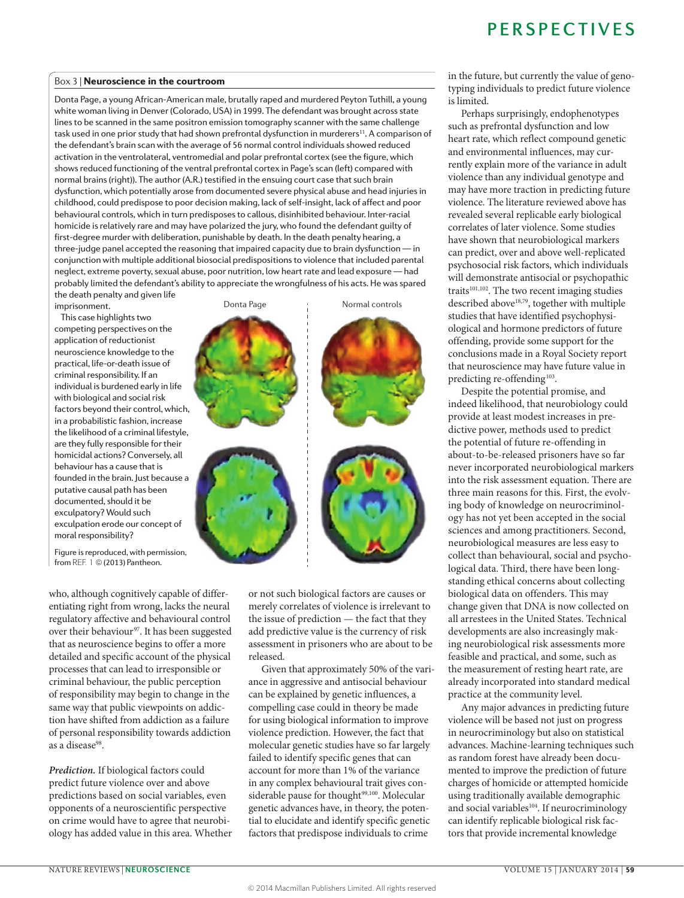#### Box 3 | Neuroscience in the courtroom

Donta Page Normal controls Donta Page, a young African-American male, brutally raped and murdered Peyton Tuthill, a young white woman living in Denver (Colorado, USA) in 1999. The defendant was brought across state lines to be scanned in the same positron emission tomography scanner with the same challenge task used in one prior study that had shown prefrontal dysfunction in murderers<sup>11</sup>. A comparison of the defendant's brain scan with the average of 56 normal control individuals showed reduced activation in the ventrolateral, ventromedial and polar prefrontal cortex (see the figure, which shows reduced functioning of the ventral prefrontal cortex in Page's scan (left) compared with normal brains (right)). The author (A.R.) testified in the ensuing court case that such brain dysfunction, which potentially arose from documented severe physical abuse and head injuries in childhood, could predispose to poor decision making, lack of self-insight, lack of affect and poor behavioural controls, which in turn predisposes to callous, disinhibited behaviour. Inter-racial homicide is relatively rare and may have polarized the jury, who found the defendant guilty of first-degree murder with deliberation, punishable by death. In the death penalty hearing, a three-judge panel accepted the reasoning that impaired capacity due to brain dysfunction — in conjunction with multiple additional biosocial predispositions to violence that included parental neglect, extreme poverty, sexual abuse, poor nutrition, low heart rate and lead exposure — had probably limited the defendant's ability to appreciate the wrongfulness of his acts. He was spared the death penalty and given life

imprisonment.

This case highlights two competing perspectives on the application of reductionist neuroscience knowledge to the practical, life‑or‑death issue of criminal responsibility. If an individual is burdened early in life with biological and social risk factors beyond their control, which, in a probabilistic fashion, increase the likelihood of a criminal lifestyle, are they fully responsible for their homicidal actions? Conversely, all behaviour has a cause that is founded in the brain. Just because a putative causal path has been documented, should it be exculpatory? Would such exculpation erode our concept of moral responsibility?

Figure is reproduced, with permission, from REF. 1 © (2013) Pantheon.

who, although cognitively capable of differentiating right from wrong, lacks the neural regulatory affective and behavioural control over their behaviour<sup>97</sup>. It has been suggested that as neuroscience begins to offer a more detailed and specific account of the physical processes that can lead to irresponsible or criminal behaviour, the public perception of responsibility may begin to change in the same way that public viewpoints on addiction have shifted from addiction as a failure of personal responsibility towards addiction as a disease<sup>98</sup>.

*Prediction.* If biological factors could predict future violence over and above predictions based on social variables, even opponents of a neuroscientific perspective on crime would have to agree that neurobiology has added value in this area. Whether or not such biological factors are causes or merely correlates of violence is irrelevant to the issue of prediction — the fact that they add predictive value is the currency of risk assessment in prisoners who are about to be released.

Given that approximately 50% of the variance in aggressive and antisocial behaviour can be explained by genetic influences, a compelling case could in theory be made for using biological information to improve violence prediction. However, the fact that molecular genetic studies have so far largely failed to identify specific genes that can account for more than 1% of the variance in any complex behavioural trait gives considerable pause for thought<sup>99,100</sup>. Molecular genetic advances have, in theory, the potential to elucidate and identify specific genetic factors that predispose individuals to crime

in the future, but currently the value of genotyping individuals to predict future violence is limited.

Perhaps surprisingly, endophenotypes such as prefrontal dysfunction and low heart rate, which reflect compound genetic and environmental influences, may currently explain more of the variance in adult violence than any individual genotype and may have more traction in predicting future violence. The literature reviewed above has revealed several replicable early biological correlates of later violence. Some studies have shown that neurobiological markers can predict, over and above well-replicated psychosocial risk factors, which individuals will demonstrate antisocial or psychopathic traits101,102. The two recent imaging studies described above<sup>18,79</sup>, together with multiple studies that have identified psychophysiological and hormone predictors of future offending, provide some support for the conclusions made in a Royal Society report that neuroscience may have future value in predicting re-offending<sup>103</sup>.

Despite the potential promise, and indeed likelihood, that neurobiology could provide at least modest increases in predictive power, methods used to predict the potential of future re-offending in about-to-be-released prisoners have so far never incorporated neurobiological markers into the risk assessment equation. There are three main reasons for this. First, the evolving body of knowledge on neurocriminology has not yet been accepted in the social sciences and among practitioners. Second, neurobiological measures are less easy to collect than behavioural, social and psychological data. Third, there have been longstanding ethical concerns about collecting biological data on offenders. This may change given that DNA is now collected on all arrestees in the United States. Technical developments are also increasingly making neurobiological risk assessments more feasible and practical, and some, such as the measurement of resting heart rate, are already incorporated into standard medical practice at the community level.

Any major advances in predicting future violence will be based not just on progress in neurocriminology but also on statistical advances. Machine-learning techniques such as random forest have already been documented to improve the prediction of future charges of homicide or attempted homicide using traditionally available demographic and social variables<sup>104</sup>. If neurocriminology can identify replicable biological risk factors that provide incremental knowledge

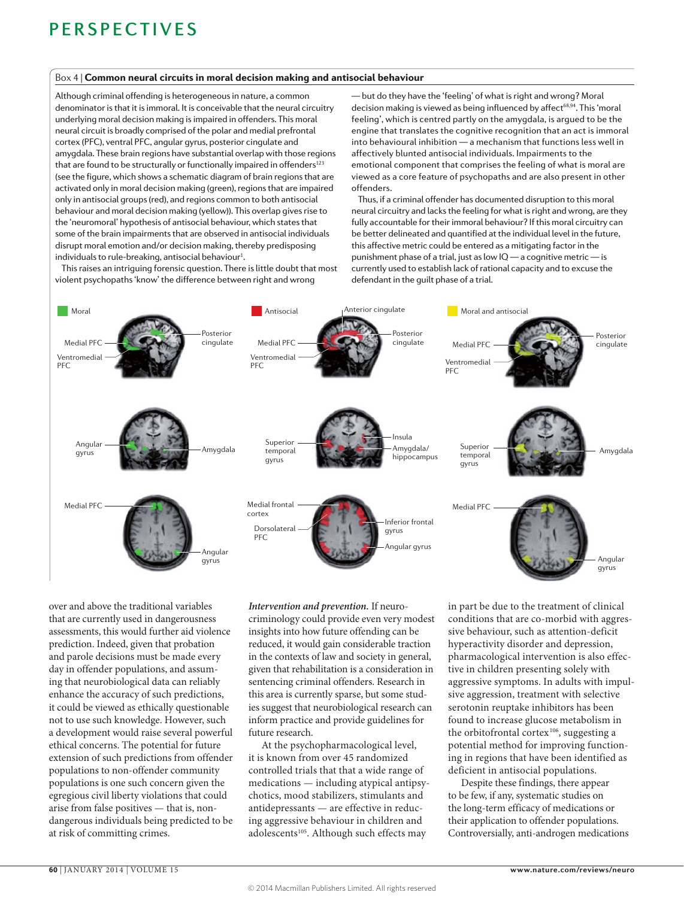### Box 4 | Common neural circuits in moral decision making and antisocial behaviour

Although criminal offending is heterogeneous in nature, a common denominator is that it is immoral. It is conceivable that the neural circuitry underlying moral decision making is impaired in offenders. This moral neural circuit is broadly comprised of the polar and medial prefrontal cortex (PFC), ventral PFC, angular gyrus, posterior cingulate and amygdala. These brain regions have substantial overlap with those regions that are found to be structurally or functionally impaired in offenders<sup>123</sup> (see the figure, which shows a schematic diagram of brain regions that are activated only in moral decision making (green), regions that are impaired only in antisocial groups (red), and regions common to both antisocial behaviour and moral decision making (yellow)). This overlap gives rise to the 'neuromoral' hypothesis of antisocial behaviour, which states that some of the brain impairments that are observed in antisocial individuals disrupt moral emotion and/or decision making, thereby predisposing individuals to rule-breaking, antisocial behaviour $^1$ .

This raises an intriguing forensic question. There is little doubt that most violent psychopaths 'know' the difference between right and wrong

— but do they have the 'feeling' of what is right and wrong? Moral decision making is viewed as being influenced by affect<sup>68,94</sup>. This 'moral feeling', which is centred partly on the amygdala, is argued to be the engine that translates the cognitive recognition that an act is immoral into behavioural inhibition — a mechanism that functions less well in affectively blunted antisocial individuals. Impairments to the emotional component that comprises the feeling of what is moral are viewed as a core feature of psychopaths and are also present in other offenders.

Thus, if a criminal offender has documented disruption to this moral neural circuitry and lacks the feeling for what is right and wrong, are they fully accountable for their immoral behaviour? If this moral circuitry can be better delineated and quantified at the individual level in the future, this affective metric could be entered as a mitigating factor in the punishment phase of a trial, just as low IQ — a cognitive metric — is currently used to establish lack of rational capacity and to excuse the defendant in the guilt phase of a trial.



over and above the traditional variables that are currently used in dangerousness assessments, this would further aid violence prediction. Indeed, given that probation and parole decisions must be made every day in offender populations, and assuming that neurobiological data can reliably enhance the accuracy of such predictions, it could be viewed as ethically questionable not to use such knowledge. However, such a development would raise several powerful ethical concerns. The potential for future extension of such predictions from offender populations to non-offender community populations is one such concern given the egregious civil liberty violations that could arise from false positives — that is, nondangerous individuals being predicted to be at risk of committing crimes.

*Intervention and prevention.* If neurocriminology could provide even very modest insights into how future offending can be reduced, it would gain considerable traction in the contexts of law and society in general, given that rehabilitation is a consideration in sentencing criminal offenders. Research in this area is currently sparse, but some studies suggest that neurobiological research can inform practice and provide guidelines for future research.

At the psychopharmacological level, it is known from over 45 randomized controlled trials that that a wide range of medications — including atypical antipsychotics, mood stabilizers, stimulants and antidepressants — are effective in reducing aggressive behaviour in children and adolescents<sup>105</sup>. Although such effects may

in part be due to the treatment of clinical conditions that are co-morbid with aggressive behaviour, such as attention-deficit hyperactivity disorder and depression, pharmacological intervention is also effective in children presenting solely with aggressive symptoms. In adults with impulsive aggression, treatment with selective serotonin reuptake inhibitors has been found to increase glucose metabolism in the orbitofrontal cortex<sup>106</sup>, suggesting a potential method for improving functioning in regions that have been identified as deficient in antisocial populations.

Despite these findings, there appear to be few, if any, systematic studies on the long-term efficacy of medications or their application to offender populations. Controversially, anti-androgen medications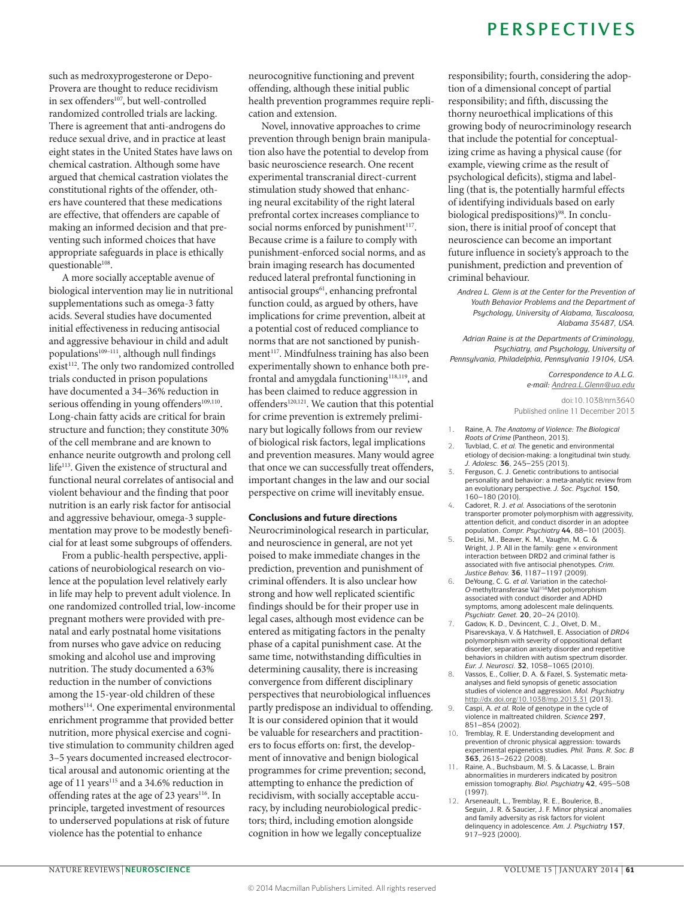such as medroxyprogesterone or Depo-Provera are thought to reduce recidivism in sex offenders<sup>107</sup>, but well-controlled randomized controlled trials are lacking. There is agreement that anti-androgens do reduce sexual drive, and in practice at least eight states in the United States have laws on chemical castration. Although some have argued that chemical castration violates the constitutional rights of the offender, others have countered that these medications are effective, that offenders are capable of making an informed decision and that preventing such informed choices that have appropriate safeguards in place is ethically questionable<sup>108</sup>.

A more socially acceptable avenue of biological intervention may lie in nutritional supplementations such as omega-3 fatty acids. Several studies have documented initial effectiveness in reducing antisocial and aggressive behaviour in child and adult populations<sup>109-111</sup>, although null findings exist<sup>112</sup>. The only two randomized controlled trials conducted in prison populations have documented a 34–36% reduction in serious offending in young offenders<sup>109,110</sup>. Long-chain fatty acids are critical for brain structure and function; they constitute 30% of the cell membrane and are known to enhance neurite outgrowth and prolong cell life<sup>113</sup>. Given the existence of structural and functional neural correlates of antisocial and violent behaviour and the finding that poor nutrition is an early risk factor for antisocial and aggressive behaviour, omega-3 supplementation may prove to be modestly beneficial for at least some subgroups of offenders.

From a public-health perspective, applications of neurobiological research on violence at the population level relatively early in life may help to prevent adult violence. In one randomized controlled trial, low-income pregnant mothers were provided with prenatal and early postnatal home visitations from nurses who gave advice on reducing smoking and alcohol use and improving nutrition. The study documented a 63% reduction in the number of convictions among the 15-year-old children of these mothers<sup>114</sup>. One experimental environmental enrichment programme that provided better nutrition, more physical exercise and cognitive stimulation to community children aged 3–5 years documented increased electrocortical arousal and autonomic orienting at the age of 11 years $^{115}$  and a 34.6% reduction in offending rates at the age of 23 years<sup>116</sup>. In principle, targeted investment of resources to underserved populations at risk of future violence has the potential to enhance

neurocognitive functioning and prevent offending, although these initial public health prevention programmes require replication and extension.

Novel, innovative approaches to crime prevention through benign brain manipulation also have the potential to develop from basic neuroscience research. One recent experimental transcranial direct-current stimulation study showed that enhancing neural excitability of the right lateral prefrontal cortex increases compliance to social norms enforced by punishment<sup>117</sup>. Because crime is a failure to comply with punishment-enforced social norms, and as brain imaging research has documented reduced lateral prefrontal functioning in antisocial groups<sup>61</sup>, enhancing prefrontal function could, as argued by others, have implications for crime prevention, albeit at a potential cost of reduced compliance to norms that are not sanctioned by punishment<sup>117</sup>. Mindfulness training has also been experimentally shown to enhance both prefrontal and amygdala functioning<sup>118,119</sup>, and has been claimed to reduce aggression in offenders<sup>120,121</sup>. We caution that this potential for crime prevention is extremely preliminary but logically follows from our review of biological risk factors, legal implications and prevention measures. Many would agree that once we can successfully treat offenders, important changes in the law and our social perspective on crime will inevitably ensue.

#### Conclusions and future directions

Neurocriminological research in particular, and neuroscience in general, are not yet poised to make immediate changes in the prediction, prevention and punishment of criminal offenders. It is also unclear how strong and how well replicated scientific findings should be for their proper use in legal cases, although most evidence can be entered as mitigating factors in the penalty phase of a capital punishment case. At the same time, notwithstanding difficulties in determining causality, there is increasing convergence from different disciplinary perspectives that neurobiological influences partly predispose an individual to offending. It is our considered opinion that it would be valuable for researchers and practitioners to focus efforts on: first, the development of innovative and benign biological programmes for crime prevention; second, attempting to enhance the prediction of recidivism, with socially acceptable accuracy, by including neurobiological predictors; third, including emotion alongside cognition in how we legally conceptualize

responsibility; fourth, considering the adoption of a dimensional concept of partial responsibility; and fifth, discussing the thorny neuroethical implications of this growing body of neurocriminology research that include the potential for conceptualizing crime as having a physical cause (for example, viewing crime as the result of psychological deficits), stigma and labelling (that is, the potentially harmful effects of identifying individuals based on early biological predispositions)<sup>98</sup>. In conclusion, there is initial proof of concept that neuroscience can become an important future influence in society's approach to the punishment, prediction and prevention of criminal behaviour.

*Andrea L. Glenn is at the Center for the Prevention of Youth Behavior Problems and the Department of Psychology, University of Alabama, Tuscaloosa, Alabama 35487, USA.*

*Adrian Raine is at the Departments of Criminology, Psychiatry, and Psychology, University of Pennsylvania, Philadelphia, Pennsylvania 19104, USA.* 

> *Correspondence to A.L.G. e-mail: [Andrea.L.Glenn@ua.edu](mailto:Andrea.L.Glenn@ua.edu)*

doi:10.1038/nrn3640 Published online 11 December 2013

- 1. Raine, A. *The Anatomy of Violence: The Biological*
- *Roots of Crime* (Pantheon, 2013). Tuvblad, C. *et al.* The genetic and environmental
- etiology of decision-making: a longitudinal twin study. *J. Adolesc.* **36**, 245–255 (2013).
- 3. Ferguson, C. J. Genetic contributions to antisocial personality and behavior: a meta-analytic review from an evolutionary perspective. *J. Soc. Psychol.* **150**, 160–180 (2010).
- 4. Cadoret, R. J. *et al.* Associations of the serotonin transporter promoter polymorphism with aggressivity, attention deficit, and conduct disorder in an adoptee population. *Compr. Psychiatry* **44**, 88–101 (2003).
- 5. DeLisi, M., Beaver, K. M., Vaughn, M. G. & Wright, J. P. All in the family: gene × environment interaction between DRD2 and criminal father is associated with five antisocial phenotypes. *Crim. Justice Behav.* **36**, 1187–1197 (2009).
- 6. DeYoung, C. G. *et al.* Variation in the catechol-*O*-methyltransferase Val158Met polymorphism associated with conduct disorder and ADHD symptoms, among adolescent male delinquents. *Psychiatr. Genet.* **20**, 20–24 (2010).
- 7. Gadow, K. D., Devincent, C. J., Olvet, D. M., Pisarevskaya, V. & Hatchwell, E. Association of *DRD4* polymorphism with severity of oppositional defiant disorder, separation anxiety disorder and repetitive behaviors in children with autism spectrum disorder. *Eur. J. Neurosci.* **32**, 1058–1065 (2010).
- 8. Vassos, E., Collier, D. A. & Fazel, S. Systematic metaanalyses and field synopsis of genetic association studies of violence and aggression. *Mol. Psychiatry* <http://dx.doi.org/10.1038/mp.2013.31>(2013).
- 9. Caspi, A. *et al.* Role of genotype in the cycle of violence in maltreated children. *Science* **297**, 851–854 (2002).
- 10. Tremblay, R. E. Understanding development and prevention of chronic physical aggression: towards experimental epigenetics studies. *Phil. Trans. R. Soc. B*  **363**, 2613–2622 (2008).
- 11. Raine, A., Buchsbaum, M. S. & Lacasse, L. Brain abnormalities in murderers indicated by positron emission tomography. *Biol. Psychiatry* **42**, 495–508 (1997).
- 12. Arseneault, L., Tremblay, R. E., Boulerice, B., Seguin, J. R. & Saucier, J. F. Minor physical anomalies and family adversity as risk factors for violent delinquency in adolescence. *Am. J. Psychiatry* **157**, 917–923 (2000).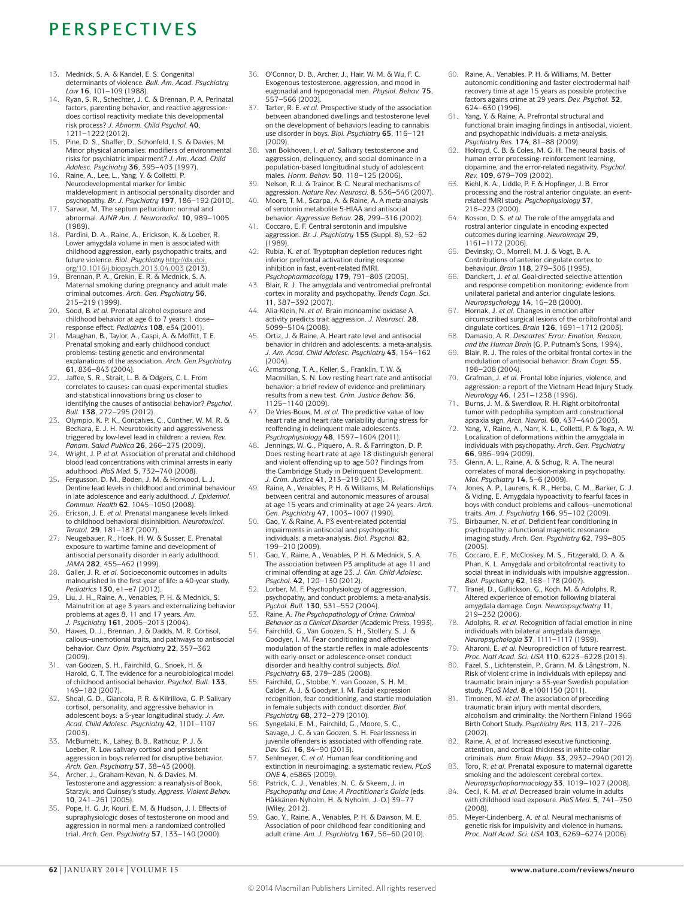- 13. Mednick, S. A. & Kandel, E. S. Congenital determinants of violence. *Bull. Am. Acad. Psychiatry Law* **16**, 101–109 (1988).
- 14. Ryan, S. R., Schechter, J. C. & Brennan, P. A. Perinatal factors, parenting behavior, and reactive aggression: does cortisol reactivity mediate this developmental risk process? *J. Abnorm. Child Psychol.* **40**, 1211–1222 (2012).
- 15. Pine, D. S., Shaffer, D., Schonfeld, I. S. & Davies, M. Minor physical anomalies: modifiers of environmental risks for psychiatric impairment? *J. Am. Acad. Child Adolesc. Psychiatry* **36**, 395–403 (1997).
- 16. Raine, A., Lee, L., Yang, Y. & Colletti, P. Neurodevelopmental marker for limbic maldevelopment in antisocial personality disorder and psychopathy. *Br. J. Psychiatry* **197**, 186–192 (2010).
- 17. Sarwar, M. The septum pellucidum: normal and abnormal. *AJNR Am. J. Neuroradiol.* **10**, 989–1005 (1989).
- 18. Pardini, D. A., Raine, A., Erickson, K. & Loeber, R. Lower amygdala volume in men is associated with childhood aggression, early psychopathic traits, and future violence. *Biol. Psychiatry* [http://dx.doi.](http://dx.doi.org/10.1016/j.biopsych.2013.04.003) [org/10.1016/j.biopsych.2013.04.003](http://dx.doi.org/10.1016/j.biopsych.2013.04.003) (2013).
- 19. Brennan, P. A., Grekin, E. R. & Mednick, S. A. Maternal smoking during pregnancy and adult male criminal outcomes. *Arch. Gen. Psychiatry* **56**, 215–219 (1999).
- 20. Sood, B. *et al.* Prenatal alcohol exposure and childhood behavior at age 6 to 7 years: I. dose– response effect. *Pediatrics* **108**, e34 (2001).
- 21. Maughan, B., Taylor, A., Caspi, A. & Moffitt, T. E. Prenatal smoking and early childhood conduct problems: testing genetic and environmental explanations of the association. *Arch. Gen.Psychiatry*  **61**, 836–843 (2004).
- 22. Jaffee, S. R., Strait, L. B. & Odgers, C. L. From correlates to causes: can quasi-experimental studies and statistical innovations bring us closer to identifying the causes of antisocial behavior? *Psychol. Bull.* **138**, 272–295 (2012).
- 23. Olympio, K. P. K., Gonçalves, C., Günther, W. M. R. & Bechara, E. J. H. Neurotoxicity and aggressiveness triggered by low-level lead in children: a review. *Rev. Panam. Salud Publica* **26**, 266–275 (2009).
- 24. Wright, J. P. *et al.* Association of prenatal and childhood blood lead concentrations with criminal arrests in early
- adulthood. *PloS Med.* **5**, 732–740 (2008). 25. Fergusson, D. M., Boden, J. M. & Horwood, L. J. Dentine lead levels in childhood and criminal behaviour in late adolescence and early adulthood. *J. Epidemiol. Commun. Health* **62**, 1045–1050 (2008).
- 26. Ericson, J. E. *et al.* Prenatal manganese levels linked to childhood behavioral disinhibition. *Neurotoxicol. Teratol.* **29**, 181–187 (2007).
- 27. Neugebauer, R., Hoek, H. W. & Susser, E. Prenatal exposure to wartime famine and development of antisocial personality disorder in early adulthood. *JAMA* **282**, 455–462 (1999).
- 28. Galler, J. R. *et al.* Socioeconomic outcomes in adults malnourished in the first year of life: a 40-year study. *Pediatrics* **130**, e1–e7 (2012).
- 29. Liu, J. H., Raine, A., Venables, P. H. & Mednick, S. Malnutrition at age 3 years and externalizing behavior problems at ages 8, 11 and 17 years. *Am. J. Psychiatry* **161**, 2005–2013 (2004).
- 30. Hawes, D. J., Brennan, J. & Dadds, M. R. Cortisol, callous–unemotional traits, and pathways to antisocial behavior. *Curr. Opin. Psychiatry* **22**, 357–362 (2009).
- 31. van Goozen, S. H., Fairchild, G., Snoek, H. & Harold, G. T. The evidence for a neurobiological model of childhood antisocial behavior. *Psychol. Bull.* **133**, 149–182 (2007).
- 32. Shoal, G. D., Giancola, P. R. & Kilrillova, G. P. Salivary cortisol, personality, and aggressive behavior in adolescent boys: a 5-year longitudinal study. *J. Am. Acad. Child Adolesc. Psychiatry* **42**, 1101–1107 (2003).
- 33. McBurnett, K., Lahey, B. B., Rathouz, P. J. & Loeber, R. Low salivary cortisol and persistent aggression in boys referred for disruptive behavior. *Arch. Gen. Psychiatry* **57**, 38–43 (2000).
- Archer, J., Graham-Kevan, N. & Davies, M. Testosterone and aggression: a reanalysis of Book, Starzyk, and Quinsey's study. *Aggress. Violent Behav.*  **10**, 241–261 (2005).
- 35. Pope, H. G. Jr, Kouri, E. M. & Hudson, J. I. Effects of supraphysiologic doses of testosterone on mood and aggression in normal men: a randomized controlled trial. *Arch. Gen. Psychiatry* **57**, 133–140 (2000).
- 36. O'Connor, D. B., Archer, J., Hair, W. M. & Wu, F. C. Exogenous testosterone, aggression, and mood in eugonadal and hypogonadal men. *Physiol. Behav.* **75**, 557–566 (2002).
- 37. Tarter, R. E. *et al.* Prospective study of the association between abandoned dwellings and testosterone level on the development of behaviors leading to cannabis use disorder in boys. *Biol. Psychiatry* **65**, 116–121 (2009).
- 38. van Bokhoven, I. *et al.* Salivary testosterone and aggression, delinquency, and social dominance in a population-based longitudinal study of adolescent males. *Horm. Behav.* **50**, 118–125 (2006).
- Nelson, R. J. & Trainor, B. C. Neural mechanisms of aggression. *Nature Rev. Neurosci.* **8**, 536–546 (2007).
- 40. Moore, T. M., Scarpa, A. & Raine, A. A meta-analysis of serotonin metabolite 5-HIAA and antisocial behavior. *Aggressive Behav.* **28**, 299–316 (2002).
- 41. Coccaro, E. F. Central serotonin and impulsive aggression. *Br. J. Psychiatry* **155** (Suppl. 8), 52–62 (1989).
- 42. Rubia, K. *et al.* Tryptophan depletion reduces right inferior prefrontal activation during response inhibition in fast, event-related fMRI. *Psychopharmacology* **179**, 791–803 (2005).
- 43. Blair, R. J. The amygdala and ventromedial prefrontal cortex in morality and psychopathy. *Trends Cogn. Sci.*  **11**, 387–392 (2007).
- 44. Alia-Klein, N. *et al.* Brain monoamine oxidase A activity predicts trait aggression. *J. Neurosci.* **28**, 5099–5104 (2008).
- 45. Ortiz, J. & Raine, A. Heart rate level and antisocial behavior in children and adolescents: a meta-analysis. *J. Am. Acad. Child Adolesc. Psychiatry* **43**, 154–162 (2004).
- 46. Armstrong, T. A., Keller, S., Franklin, T. W. & Macmillan, S. N. Low resting heart rate and antisocial behavior: a brief review of evidence and preliminary results from a new test. *Crim. Justice Behav.* **36**, 1125–1140 (2009).
- 47. De Vries-Bouw, M. *et al.* The predictive value of low heart rate and heart rate variability during stress for reoffending in delinquent male adolescents. *Psychophysiology* **48**, 1597–1604 (2011).
- Jennings, W. G., Piquero, A. R. & Farrington, D. P. Does resting heart rate at age 18 distinguish general and violent offending up to age 50? Findings from the Cambridge Study in Delinquent Development. *J. Crim. Justice* **41**, 213–219 (2013).
- Raine, A., Venables, P. H. & Williams, M. Relationships between central and autonomic measures of arousal at age 15 years and criminality at age 24 years. *Arch.*
- *Gen. Psychiatry* **47**, 1003–1007 (1990). 50. Gao, Y. & Raine, A. P3 event-related potential impairments in antisocial and psychopathic individuals: a meta-analysis. *Biol. Psychol.* **82**, 199–210 (2009).
- 51. Gao, Y., Raine, A., Venables, P. H. & Mednick, S. A. The association between P3 amplitude at age 11 and criminal offending at age 23. *J. Clin. Child Adolesc. Psychol.* **42**, 120–130 (2012).
- Lorber, M. F. Psychophysiology of aggression, psychopathy, and conduct problems: a meta-analysis. *Pychol. Bull.* **130**, 531–552 (2004). 53. Raine, A. *The Psychopathology of Crime: Criminal*
- *Behavior as a Clinical Disorder* (Academic Press, 1993).
- 54. Fairchild, G., Van Goozen, S. H., Stollery, S. J. & Goodyer, I. M. Fear conditioning and affective modulation of the startle reflex in male adolescents with early-onset or adolescence-onset conduct disorder and healthy control subjects. *Biol. Psychiatry* **63**, 279–285 (2008).
- 55. Fairchild, G., Stobbe, Y., van Goozen, S. H. M., Calder, A. J. & Goodyer, I. M. Facial expression recognition, fear conditioning, and startle modulation in female subjects with conduct disorder. *Biol. Psychiatry* **68**, 272–279 (2010).
- Syngelaki, E. M., Fairchild, G., Moore, S. C., Savage, J. C. & van Goozen, S. H. Fearlessness in juvenile offenders is associated with offending rate. *Dev. Sci.* **16**, 84–90 (2013).
- 57. Sehlmeyer, C. *et al.* Human fear conditioning and extinction in neuroimaging: a systematic review. *PLoS ONE* **4**, e5865 (2009).
- 58. Patrick, C. J., Venables, N. C. & Skeem, J. in *Psychopathy and Law: A Practitioner's Guide* (eds Häkkänen-Nyholm, H. & Nyholm, J.-O.) 39–77 (Wiley, 2012).
- 59. Gao, Y., Raine, A., Venables, P. H. & Dawson, M. E. Association of poor childhood fear conditioning and adult crime. *Am. J. Psychiatry* **167**, 56–60 (2010).
- 60. Raine, A., Venables, P. H. & Williams, M. Better autonomic conditioning and faster electrodermal halfrecovery time at age 15 years as possible protective factors agains crime at 29 years. *Dev. Psychol.* **32**, 624–630 (1996).
- Yang, Y. & Raine, A. Prefrontal structural and functional brain imaging findings in antisocial, violent, and psychopathic individuals: a meta-analysis. *Psychiatry Res.* **174**, 81–88 (2009).
- 62. Holroyd, C. B. & Coles, M. G. H. The neural basis. of human error processing: reinforcement learning, dopamine, and the error-related negativity. *Psychol. Rev.* **109**, 679–709 (2002).
- 63. Kiehl, K. A., Liddle, P. F. & Hopfinger, J. B. Error processing and the rostral anterior cingulate: an eventrelated fMRI study. *Psychophysiology* **37**, 216–223 (2000).
- 64. Kosson, D. S. *et al.* The role of the amygdala and rostral anterior cingulate in encoding expected outcomes during learning. *Neuroimage* **29**, 1161–1172 (2006).
- 65. Devinsky, O., Morrell, M. J. & Vogt, B. A. Contributions of anterior cingulate cortex to behaviour. *Brain* **118**, 279–306 (1995).
- 66. Danckert, J. *et al.* Goal-directed selective attention and response competition monitoring: evidence from unilateral parietal and anterior cingulate lesions. *Neuropsychology* **14**, 16–28 (2000).
- Hornak, J. et al. Changes in emotion after circumscribed surgical lesions of the orbitofrontal and cingulate cortices. *Brain* **126**, 1691–1712 (2003).
- 68. Damasio, A. R. *Descartes' Error: Emotion, Reason, and the Human Brain* (G. P. Putnam's Sons, 1994).
- Blair, R. J. The roles of the orbital frontal cortex in the modulation of antisocial behavior. *Brain Cogn.* **55**, 198–208 (2004).
- 70. Grafman, J. *et al.* Frontal lobe injuries, violence, and aggression: a report of the Vietnam Head Injury Study. *Neurology* **46**, 1231–1238 (1996).
- Burns, J. M. & Swerdlow, R. H. Right orbitofrontal tumor with pedophilia symptom and constructional apraxia sign. *Arch. Neurol.* **60**, 437–440 (2003). 72. Yang, Y., Raine, A., Narr, K. L., Colletti, P. & Toga, A. W.
- Localization of deformations within the amygdala in individuals with psychopathy. *Arch. Gen. Psychiatry*  **66**, 986–994 (2009).
- 73. Glenn, A. L., Raine, A. & Schug, R. A. The neural correlates of moral decision-making in psychopathy. *Mol. Psychiatry* **14**, 5–6 (2009).
- Jones, A. P., Laurens, K. R., Herba, C. M., Barker, G. J. & Viding, E. Amygdala hypoactivity to fearful faces in boys with conduct problems and callous–unemotional
- traits. *Am. J. Psychiatry* **166**, 95–102 (2009). 75. Birbaumer, N. *et al.* Deficient fear conditioning in psychopathy: a functional magnetic resonance imaging study. *Arch. Gen. Psychiatry* **62**, 799–805 (2005).
- 76. Coccaro, E. F., McCloskey, M. S., Fitzgerald, D. A. & Phan, K. L. Amygdala and orbitofrontal reactivity to social threat in individuals with impulsive aggression. *Biol. Psychiatry* **62**, 168–178 (2007).
- 77. Tranel, D., Gullickson, G., Koch, M. & Adolphs, R. Altered experience of emotion following bilateral amygdala damage. *Cogn. Neurospsychiatry* **11**, 219–232 (2006).
- 78. Adolphs, R. *et al.* Recognition of facial emotion in nine individuals with bilateral amygdala damage. *Neuropsychologia* **37**, 1111–1117 (1999).
- 79. Aharoni, E. *et al.* Neuroprediction of future rearrest. *Proc. Natl Acad. Sci. USA* **110**, 6223–6228 (2013).
- 80. Fazel, S., Lichtenstein, P., Grann, M. & Långström, N. Risk of violent crime in individuals with epilepsy and traumatic brain injury: a 35-year Swedish population study. *PLoS Med.* **8**, e1001150 (2011).
- 81. Timonen, M. *et al*. The association of preceding traumatic brain injury with mental disorders, alcoholism and criminality: the Northern Finland 1966 Birth Cohort Study. *Psychiatry Res.* **113**, 217–226 (2002).
- 82. Raine, A. *et al.* Increased executive functioning, attention, and cortical thickness in white-collar criminals. *Hum. Brain Mapp.* **33**, 2932–2940 (2012).
- 83. Toro, R. *et al.* Prenatal exposure to maternal cigarette smoking and the adolescent cerebral cortex.
- *Neuropsychopharmacology* **33**, 1019–1027 (2008). 84. Cecil, K. M. *et al.* Decreased brain volume in adults with childhood lead exposure. *PloS Med.* **5**, 741–750 (2008).
- 85. Meyer-Lindenberg, A. *et al.* Neural mechanisms of genetic risk for impulsivity and violence in humans. *Proc. Natl Acad. Sci. USA* **103**, 6269–6274 (2006).